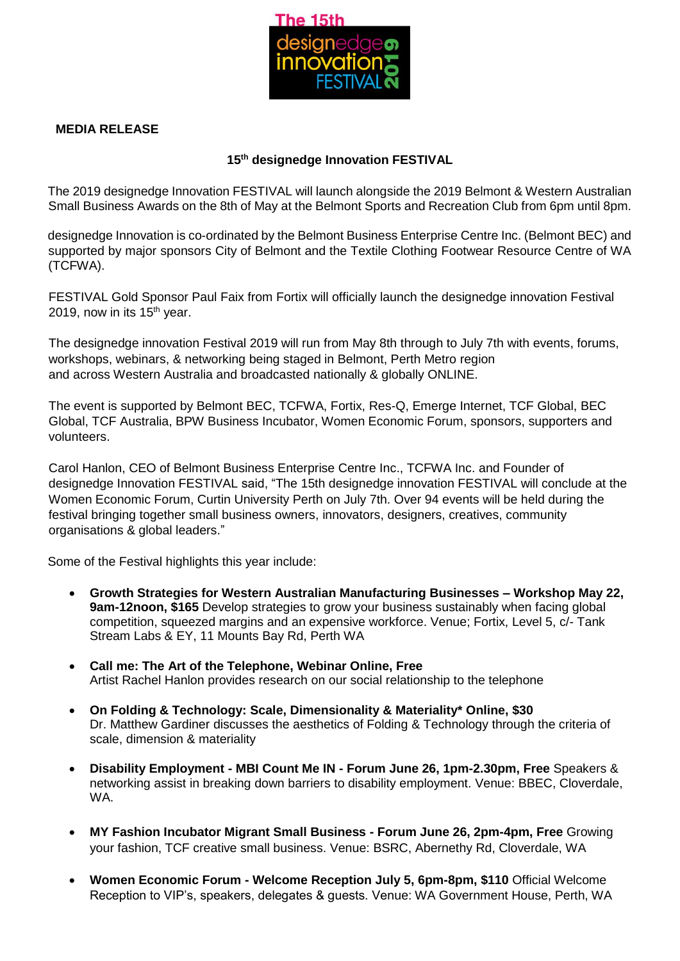

## **MEDIA RELEASE**

## **15 th designedge Innovation FESTIVAL**

The 2019 designedge Innovation FESTIVAL will launch alongside the 2019 Belmont & Western Australian Small Business Awards on the 8th of May at the Belmont Sports and Recreation Club from 6pm until 8pm.

designedge Innovation is co-ordinated by the Belmont Business Enterprise Centre Inc. (Belmont BEC) and supported by major sponsors City of Belmont and the Textile Clothing Footwear Resource Centre of WA (TCFWA).

FESTIVAL Gold Sponsor Paul Faix from Fortix will officially launch the designedge innovation Festival 2019, now in its 15<sup>th</sup> year.

The designedge innovation Festival 2019 will run from May 8th through to July 7th with events, forums, workshops, webinars, & networking being staged in Belmont, Perth Metro region and across Western Australia and broadcasted nationally & globally ONLINE.

The event is supported by Belmont BEC, TCFWA, Fortix, Res-Q, Emerge Internet, TCF Global, BEC Global, TCF Australia, BPW Business Incubator, Women Economic Forum, sponsors, supporters and volunteers.

Carol Hanlon, CEO of Belmont Business Enterprise Centre Inc., TCFWA Inc. and Founder of designedge Innovation FESTIVAL said, "The 15th designedge innovation FESTIVAL will conclude at the Women Economic Forum, Curtin University Perth on July 7th. Over 94 events will be held during the festival bringing together small business owners, innovators, designers, creatives, community organisations & global leaders."

Some of the Festival highlights this year include:

- **Growth Strategies for Western Australian Manufacturing Businesses – Workshop May 22, 9am-12noon, \$165** Develop strategies to grow your business sustainably when facing global competition, squeezed margins and an expensive workforce. Venue; Fortix, Level 5, c/- Tank Stream Labs & EY, 11 Mounts Bay Rd, Perth WA
- **Call me: The Art of the Telephone, Webinar Online, Free** Artist Rachel Hanlon provides research on our social relationship to the telephone
- **On Folding & Technology: Scale, Dimensionality & Materiality\* Online, \$30** Dr. Matthew Gardiner discusses the aesthetics of Folding & Technology through the criteria of scale, dimension & materiality
- **Disability Employment - MBI Count Me IN - Forum June 26, 1pm-2.30pm, Free** Speakers & networking assist in breaking down barriers to disability employment. Venue: BBEC, Cloverdale, WA.
- **MY Fashion Incubator Migrant Small Business - Forum June 26, 2pm-4pm, Free** Growing your fashion, TCF creative small business. Venue: BSRC, Abernethy Rd, Cloverdale, WA
- **Women Economic Forum - Welcome Reception July 5, 6pm-8pm, \$110** Official Welcome Reception to VIP's, speakers, delegates & guests. Venue: WA Government House, Perth, WA